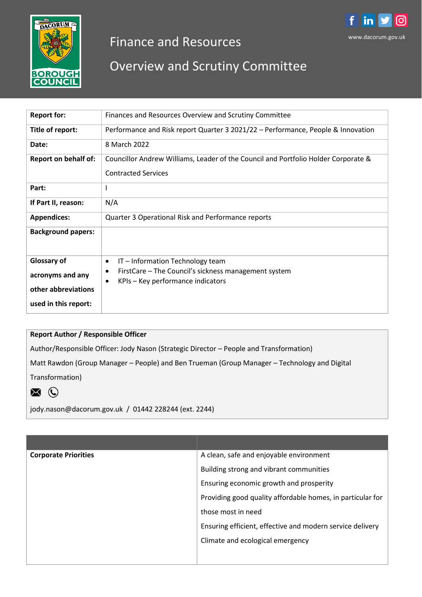

# Finance and Resources

## Overview and Scrutiny Committee

| <b>Report for:</b>          | Finances and Resources Overview and Scrutiny Committee                                                      |  |
|-----------------------------|-------------------------------------------------------------------------------------------------------------|--|
| Title of report:            | Performance and Risk report Quarter 3 2021/22 – Performance, People & Innovation                            |  |
| Date:                       | 8 March 2022                                                                                                |  |
| <b>Report on behalf of:</b> | Councillor Andrew Williams, Leader of the Council and Portfolio Holder Corporate &                          |  |
|                             | <b>Contracted Services</b>                                                                                  |  |
| Part:                       | I                                                                                                           |  |
| If Part II, reason:         | N/A                                                                                                         |  |
| <b>Appendices:</b>          | Quarter 3 Operational Risk and Performance reports                                                          |  |
| <b>Background papers:</b>   |                                                                                                             |  |
| <b>Glossary of</b>          | IT - Information Technology team<br>$\bullet$                                                               |  |
| acronyms and any            | FirstCare – The Council's sickness management system<br>٠<br>KPIs – Key performance indicators<br>$\bullet$ |  |
| other abbreviations         |                                                                                                             |  |
| used in this report:        |                                                                                                             |  |

#### **Report Author / Responsible Officer**

Author/Responsible Officer: Jody Nason (Strategic Director – People and Transformation)

Matt Rawdon (Group Manager – People) and Ben Trueman (Group Manager – Technology and Digital

Transformation)



jody.nason@dacorum.gov.uk / 01442 228244 (ext. 2244)

| A clean, safe and enjoyable environment                    |
|------------------------------------------------------------|
| Building strong and vibrant communities                    |
| Ensuring economic growth and prosperity                    |
| Providing good quality affordable homes, in particular for |
| those most in need                                         |
| Ensuring efficient, effective and modern service delivery  |
| Climate and ecological emergency                           |
|                                                            |
|                                                            |

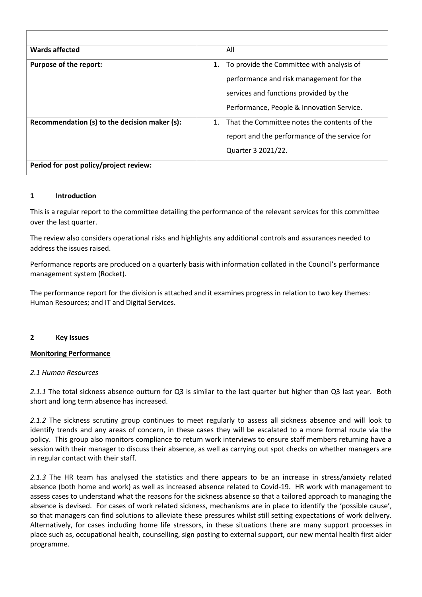| Wards affected                                | All                                                                                                                                  |
|-----------------------------------------------|--------------------------------------------------------------------------------------------------------------------------------------|
| <b>Purpose of the report:</b>                 | To provide the Committee with analysis of<br>1.<br>performance and risk management for the<br>services and functions provided by the |
|                                               | Performance, People & Innovation Service.                                                                                            |
| Recommendation (s) to the decision maker (s): | That the Committee notes the contents of the<br>$1_{-}$<br>report and the performance of the service for<br>Quarter 3 2021/22.       |
| Period for post policy/project review:        |                                                                                                                                      |

#### **1 Introduction**

This is a regular report to the committee detailing the performance of the relevant services for this committee over the last quarter.

The review also considers operational risks and highlights any additional controls and assurances needed to address the issues raised.

Performance reports are produced on a quarterly basis with information collated in the Council's performance management system (Rocket).

The performance report for the division is attached and it examines progress in relation to two key themes: Human Resources; and IT and Digital Services.

#### **2 Key Issues**

#### **Monitoring Performance**

#### *2.1 Human Resources*

*2.1.1* The total sickness absence outturn for Q3 is similar to the last quarter but higher than Q3 last year. Both short and long term absence has increased.

*2.1.2* The sickness scrutiny group continues to meet regularly to assess all sickness absence and will look to identify trends and any areas of concern, in these cases they will be escalated to a more formal route via the policy. This group also monitors compliance to return work interviews to ensure staff members returning have a session with their manager to discuss their absence, as well as carrying out spot checks on whether managers are in regular contact with their staff.

*2.1.3* The HR team has analysed the statistics and there appears to be an increase in stress/anxiety related absence (both home and work) as well as increased absence related to Covid-19. HR work with management to assess cases to understand what the reasons for the sickness absence so that a tailored approach to managing the absence is devised. For cases of work related sickness, mechanisms are in place to identify the 'possible cause', so that managers can find solutions to alleviate these pressures whilst still setting expectations of work delivery. Alternatively, for cases including home life stressors, in these situations there are many support processes in place such as, occupational health, counselling, sign posting to external support, our new mental health first aider programme.